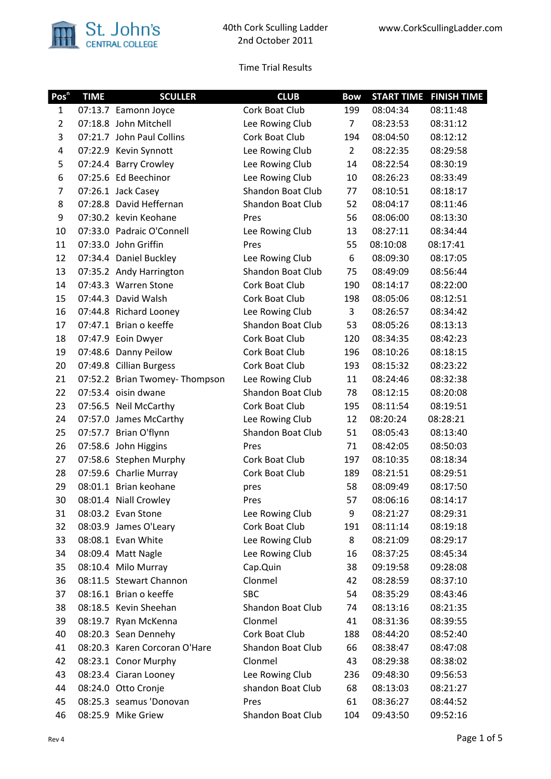

| Pos <sup>n</sup> | <b>TIME</b> | <b>SCULLER</b>                 | <b>CLUB</b>              | <b>Bow</b>     | <b>START TIME</b> | <b>FINISH TIME</b> |
|------------------|-------------|--------------------------------|--------------------------|----------------|-------------------|--------------------|
| $\mathbf{1}$     |             | 07:13.7 Eamonn Joyce           | Cork Boat Club           | 199            | 08:04:34          | 08:11:48           |
| $\overline{2}$   |             | 07:18.8 John Mitchell          | Lee Rowing Club          | $\overline{7}$ | 08:23:53          | 08:31:12           |
| 3                |             | 07:21.7 John Paul Collins      | Cork Boat Club           | 194            | 08:04:50          | 08:12:12           |
| 4                |             | 07:22.9 Kevin Synnott          | Lee Rowing Club          | $2^{\circ}$    | 08:22:35          | 08:29:58           |
| 5                |             | 07:24.4 Barry Crowley          | Lee Rowing Club          | 14             | 08:22:54          | 08:30:19           |
| 6                |             | 07:25.6 Ed Beechinor           | Lee Rowing Club          | 10             | 08:26:23          | 08:33:49           |
| $\overline{7}$   |             | 07:26.1 Jack Casey             | <b>Shandon Boat Club</b> | 77             | 08:10:51          | 08:18:17           |
| 8                |             | 07:28.8 David Heffernan        | <b>Shandon Boat Club</b> | 52             | 08:04:17          | 08:11:46           |
| 9                |             | 07:30.2 kevin Keohane          | Pres                     | 56             | 08:06:00          | 08:13:30           |
| 10               |             | 07:33.0 Padraic O'Connell      | Lee Rowing Club          | 13             | 08:27:11          | 08:34:44           |
| 11               |             | 07:33.0 John Griffin           | Pres                     | 55             | 08:10:08          | 08:17:41           |
| 12               |             | 07:34.4 Daniel Buckley         | Lee Rowing Club          | 6              | 08:09:30          | 08:17:05           |
| 13               |             | 07:35.2 Andy Harrington        | Shandon Boat Club        | 75             | 08:49:09          | 08:56:44           |
| 14               |             | 07:43.3 Warren Stone           | Cork Boat Club           | 190            | 08:14:17          | 08:22:00           |
| 15               |             | 07:44.3 David Walsh            | Cork Boat Club           | 198            | 08:05:06          | 08:12:51           |
| 16               |             | 07:44.8 Richard Looney         | Lee Rowing Club          | 3              | 08:26:57          | 08:34:42           |
| 17               |             | 07:47.1 Brian o keeffe         | Shandon Boat Club        | 53             | 08:05:26          | 08:13:13           |
| 18               |             | 07:47.9 Eoin Dwyer             | Cork Boat Club           | 120            | 08:34:35          | 08:42:23           |
| 19               |             | 07:48.6 Danny Peilow           | Cork Boat Club           | 196            | 08:10:26          | 08:18:15           |
| 20               |             | 07:49.8 Cillian Burgess        | Cork Boat Club           | 193            | 08:15:32          | 08:23:22           |
| 21               |             | 07:52.2 Brian Twomey- Thompson | Lee Rowing Club          | 11             | 08:24:46          | 08:32:38           |
| 22               |             | 07:53.4 oisin dwane            | Shandon Boat Club        | 78             | 08:12:15          | 08:20:08           |
| 23               |             | 07:56.5 Neil McCarthy          | Cork Boat Club           | 195            | 08:11:54          | 08:19:51           |
| 24               |             | 07:57.0 James McCarthy         | Lee Rowing Club          | 12             | 08:20:24          | 08:28:21           |
| 25               |             | 07:57.7 Brian O'flynn          | Shandon Boat Club        | 51             | 08:05:43          | 08:13:40           |
| 26               |             | 07:58.6 John Higgins           | Pres                     | 71             | 08:42:05          | 08:50:03           |
| 27               |             | 07:58.6 Stephen Murphy         | Cork Boat Club           | 197            | 08:10:35          | 08:18:34           |
| 28               |             | 07:59.6 Charlie Murray         | Cork Boat Club           | 189            | 08:21:51          | 08:29:51           |
| 29               |             | 08:01.1 Brian keohane          | pres                     | 58             | 08:09:49          | 08:17:50           |
| 30               |             | 08:01.4 Niall Crowley          | Pres                     | 57             | 08:06:16          | 08:14:17           |
| 31               |             | 08:03.2 Evan Stone             | Lee Rowing Club          | 9              | 08:21:27          | 08:29:31           |
| 32               |             | 08:03.9 James O'Leary          | Cork Boat Club           | 191            | 08:11:14          | 08:19:18           |
| 33               |             | 08:08.1 Evan White             | Lee Rowing Club          | 8              | 08:21:09          | 08:29:17           |
| 34               |             | 08:09.4 Matt Nagle             | Lee Rowing Club          | 16             | 08:37:25          | 08:45:34           |
| 35               |             | 08:10.4 Milo Murray            | Cap.Quin                 | 38             | 09:19:58          | 09:28:08           |
| 36               |             | 08:11.5 Stewart Channon        | Clonmel                  | 42             | 08:28:59          | 08:37:10           |
| 37               |             | 08:16.1 Brian o keeffe         | <b>SBC</b>               | 54             | 08:35:29          | 08:43:46           |
| 38               |             | 08:18.5 Kevin Sheehan          | Shandon Boat Club        | 74             | 08:13:16          | 08:21:35           |
| 39               |             | 08:19.7 Ryan McKenna           | Clonmel                  | 41             | 08:31:36          | 08:39:55           |
| 40               |             | 08:20.3 Sean Dennehy           | Cork Boat Club           | 188            | 08:44:20          | 08:52:40           |
| 41               |             | 08:20.3 Karen Corcoran O'Hare  | Shandon Boat Club        | 66             | 08:38:47          | 08:47:08           |
| 42               |             | 08:23.1 Conor Murphy           | Clonmel                  | 43             | 08:29:38          | 08:38:02           |
| 43               |             | 08:23.4 Ciaran Looney          | Lee Rowing Club          | 236            | 09:48:30          | 09:56:53           |
| 44               |             | 08:24.0 Otto Cronje            | shandon Boat Club        | 68             | 08:13:03          | 08:21:27           |
| 45               |             | 08:25.3 seamus 'Donovan        | Pres                     | 61             | 08:36:27          | 08:44:52           |
| 46               |             | 08:25.9 Mike Griew             | Shandon Boat Club        | 104            | 09:43:50          | 09:52:16           |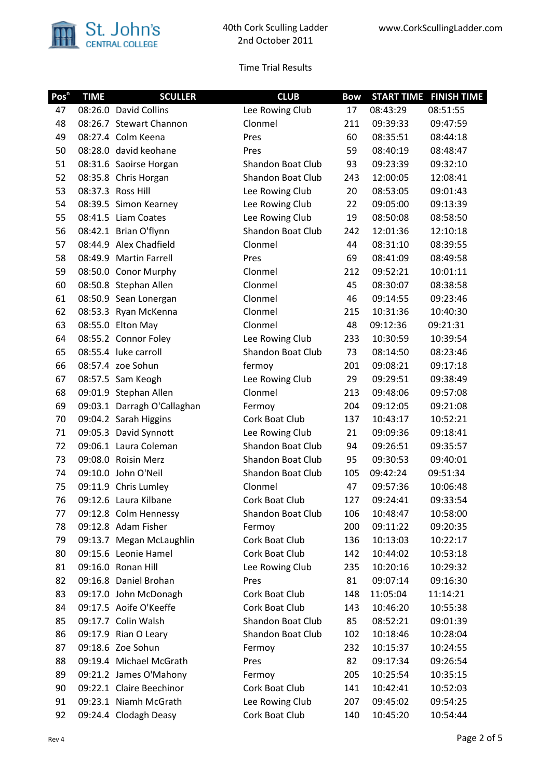

| Pos <sup>n</sup> | <b>TIME</b> | <b>SCULLER</b>              | <b>CLUB</b>              | <b>Bow</b> |          | <b>START TIME FINISH TIME</b> |
|------------------|-------------|-----------------------------|--------------------------|------------|----------|-------------------------------|
| 47               |             | 08:26.0 David Collins       | Lee Rowing Club          | 17         | 08:43:29 | 08:51:55                      |
| 48               |             | 08:26.7 Stewart Channon     | Clonmel                  | 211        | 09:39:33 | 09:47:59                      |
| 49               |             | 08:27.4 Colm Keena          | Pres                     | 60         | 08:35:51 | 08:44:18                      |
| 50               |             | 08:28.0 david keohane       | Pres                     | 59         | 08:40:19 | 08:48:47                      |
| 51               |             | 08:31.6 Saoirse Horgan      | Shandon Boat Club        | 93         | 09:23:39 | 09:32:10                      |
| 52               |             | 08:35.8 Chris Horgan        | Shandon Boat Club        | 243        | 12:00:05 | 12:08:41                      |
| 53               |             | 08:37.3 Ross Hill           | Lee Rowing Club          | 20         | 08:53:05 | 09:01:43                      |
| 54               |             | 08:39.5 Simon Kearney       | Lee Rowing Club          | 22         | 09:05:00 | 09:13:39                      |
| 55               |             | 08:41.5 Liam Coates         | Lee Rowing Club          | 19         | 08:50:08 | 08:58:50                      |
| 56               |             | 08:42.1 Brian O'flynn       | <b>Shandon Boat Club</b> | 242        | 12:01:36 | 12:10:18                      |
| 57               |             | 08:44.9 Alex Chadfield      | Clonmel                  | 44         | 08:31:10 | 08:39:55                      |
| 58               |             | 08:49.9 Martin Farrell      | Pres                     | 69         | 08:41:09 | 08:49:58                      |
| 59               |             | 08:50.0 Conor Murphy        | Clonmel                  | 212        | 09:52:21 | 10:01:11                      |
| 60               |             | 08:50.8 Stephan Allen       | Clonmel                  | 45         | 08:30:07 | 08:38:58                      |
| 61               |             | 08:50.9 Sean Lonergan       | Clonmel                  | 46         | 09:14:55 | 09:23:46                      |
| 62               |             | 08:53.3 Ryan McKenna        | Clonmel                  | 215        | 10:31:36 | 10:40:30                      |
| 63               |             | 08:55.0 Elton May           | Clonmel                  | 48         | 09:12:36 | 09:21:31                      |
| 64               |             | 08:55.2 Connor Foley        | Lee Rowing Club          | 233        | 10:30:59 | 10:39:54                      |
| 65               |             | 08:55.4 luke carroll        | <b>Shandon Boat Club</b> | 73         | 08:14:50 | 08:23:46                      |
| 66               |             | 08:57.4 zoe Sohun           | fermoy                   | 201        | 09:08:21 | 09:17:18                      |
| 67               |             | 08:57.5 Sam Keogh           | Lee Rowing Club          | 29         | 09:29:51 | 09:38:49                      |
| 68               |             | 09:01.9 Stephan Allen       | Clonmel                  | 213        | 09:48:06 | 09:57:08                      |
| 69               |             | 09:03.1 Darragh O'Callaghan | Fermoy                   | 204        | 09:12:05 | 09:21:08                      |
| 70               |             | 09:04.2 Sarah Higgins       | Cork Boat Club           | 137        | 10:43:17 | 10:52:21                      |
| 71               |             | 09:05.3 David Synnott       | Lee Rowing Club          | 21         | 09:09:36 | 09:18:41                      |
| 72               |             | 09:06.1 Laura Coleman       | Shandon Boat Club        | 94         | 09:26:51 | 09:35:57                      |
| 73               |             | 09:08.0 Roisin Merz         | Shandon Boat Club        | 95         | 09:30:53 | 09:40:01                      |
| 74               |             | 09:10.0 John O'Neil         | <b>Shandon Boat Club</b> | 105        | 09:42:24 | 09:51:34                      |
| 75               |             | 09:11.9 Chris Lumley        | Clonmel                  | 47         | 09:57:36 | 10:06:48                      |
| 76               |             | 09:12.6 Laura Kilbane       | Cork Boat Club           | 127        | 09:24:41 | 09:33:54                      |
| 77               |             | 09:12.8 Colm Hennessy       | Shandon Boat Club        | 106        | 10:48:47 | 10:58:00                      |
| 78               |             | 09:12.8 Adam Fisher         | Fermoy                   | 200        | 09:11:22 | 09:20:35                      |
| 79               |             | 09:13.7 Megan McLaughlin    | Cork Boat Club           | 136        | 10:13:03 | 10:22:17                      |
| 80               |             | 09:15.6 Leonie Hamel        | Cork Boat Club           | 142        | 10:44:02 | 10:53:18                      |
| 81               |             | 09:16.0 Ronan Hill          | Lee Rowing Club          | 235        | 10:20:16 | 10:29:32                      |
| 82               |             | 09:16.8 Daniel Brohan       | Pres                     | 81         | 09:07:14 | 09:16:30                      |
| 83               |             | 09:17.0 John McDonagh       | Cork Boat Club           | 148        | 11:05:04 | 11:14:21                      |
| 84               |             | 09:17.5 Aoife O'Keeffe      | Cork Boat Club           | 143        | 10:46:20 | 10:55:38                      |
| 85               |             | 09:17.7 Colin Walsh         | Shandon Boat Club        | 85         | 08:52:21 | 09:01:39                      |
| 86               |             | 09:17.9 Rian O Leary        | Shandon Boat Club        | 102        | 10:18:46 | 10:28:04                      |
| 87               |             | 09:18.6 Zoe Sohun           | Fermoy                   | 232        | 10:15:37 | 10:24:55                      |
| 88               |             | 09:19.4 Michael McGrath     | Pres                     | 82         | 09:17:34 | 09:26:54                      |
| 89               |             | 09:21.2 James O'Mahony      | Fermoy                   | 205        | 10:25:54 | 10:35:15                      |
| 90               |             | 09:22.1 Claire Beechinor    | Cork Boat Club           | 141        | 10:42:41 | 10:52:03                      |
| 91               |             | 09:23.1 Niamh McGrath       | Lee Rowing Club          | 207        | 09:45:02 | 09:54:25                      |
| 92               |             | 09:24.4 Clodagh Deasy       | Cork Boat Club           | 140        | 10:45:20 | 10:54:44                      |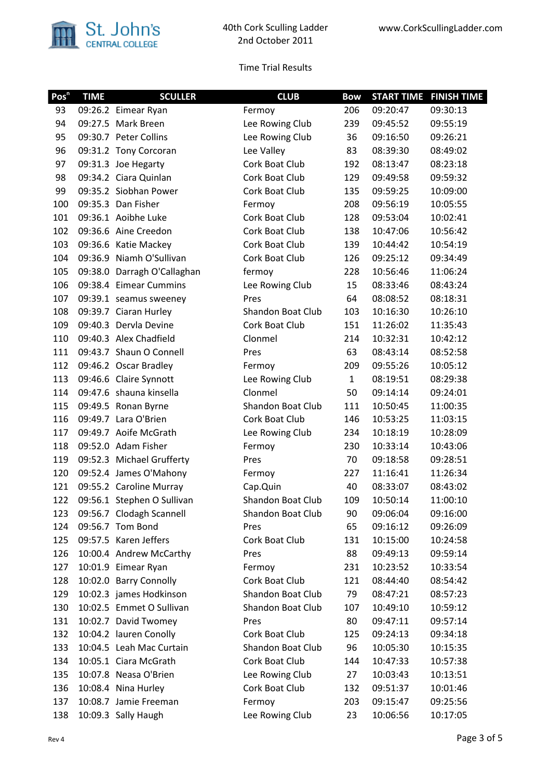

| Pos <sup>n</sup> | <b>TIME</b> | <b>SCULLER</b>              | <b>CLUB</b>       | <b>Bow</b>   | <b>START TIME</b> | <b>FINISH TIME</b> |
|------------------|-------------|-----------------------------|-------------------|--------------|-------------------|--------------------|
| 93               |             | 09:26.2 Eimear Ryan         | Fermoy            | 206          | 09:20:47          | 09:30:13           |
| 94               |             | 09:27.5 Mark Breen          | Lee Rowing Club   | 239          | 09:45:52          | 09:55:19           |
| 95               |             | 09:30.7 Peter Collins       | Lee Rowing Club   | 36           | 09:16:50          | 09:26:21           |
| 96               |             | 09:31.2 Tony Corcoran       | Lee Valley        | 83           | 08:39:30          | 08:49:02           |
| 97               |             | 09:31.3 Joe Hegarty         | Cork Boat Club    | 192          | 08:13:47          | 08:23:18           |
| 98               |             | 09:34.2 Ciara Quinlan       | Cork Boat Club    | 129          | 09:49:58          | 09:59:32           |
| 99               |             | 09:35.2 Siobhan Power       | Cork Boat Club    | 135          | 09:59:25          | 10:09:00           |
| 100              |             | 09:35.3 Dan Fisher          | Fermoy            | 208          | 09:56:19          | 10:05:55           |
| 101              |             | 09:36.1 Aoibhe Luke         | Cork Boat Club    | 128          | 09:53:04          | 10:02:41           |
| 102              |             | 09:36.6 Aine Creedon        | Cork Boat Club    | 138          | 10:47:06          | 10:56:42           |
| 103              |             | 09:36.6 Katie Mackey        | Cork Boat Club    | 139          | 10:44:42          | 10:54:19           |
| 104              |             | 09:36.9 Niamh O'Sullivan    | Cork Boat Club    | 126          | 09:25:12          | 09:34:49           |
| 105              |             | 09:38.0 Darragh O'Callaghan | fermoy            | 228          | 10:56:46          | 11:06:24           |
| 106              |             | 09:38.4 Eimear Cummins      | Lee Rowing Club   | 15           | 08:33:46          | 08:43:24           |
| 107              |             | 09:39.1 seamus sweeney      | Pres              | 64           | 08:08:52          | 08:18:31           |
| 108              |             | 09:39.7 Ciaran Hurley       | Shandon Boat Club | 103          | 10:16:30          | 10:26:10           |
| 109              |             | 09:40.3 Dervla Devine       | Cork Boat Club    | 151          | 11:26:02          | 11:35:43           |
| 110              |             | 09:40.3 Alex Chadfield      | Clonmel           | 214          | 10:32:31          | 10:42:12           |
| 111              |             | 09:43.7 Shaun O Connell     | Pres              | 63           | 08:43:14          | 08:52:58           |
| 112              |             | 09:46.2 Oscar Bradley       | Fermoy            | 209          | 09:55:26          | 10:05:12           |
| 113              |             | 09:46.6 Claire Synnott      | Lee Rowing Club   | $\mathbf{1}$ | 08:19:51          | 08:29:38           |
| 114              |             | 09:47.6 shauna kinsella     | Clonmel           | 50           | 09:14:14          | 09:24:01           |
| 115              |             | 09:49.5 Ronan Byrne         | Shandon Boat Club | 111          | 10:50:45          | 11:00:35           |
| 116              |             | 09:49.7 Lara O'Brien        | Cork Boat Club    | 146          | 10:53:25          | 11:03:15           |
| 117              |             | 09:49.7 Aoife McGrath       | Lee Rowing Club   | 234          | 10:18:19          | 10:28:09           |
| 118              |             | 09:52.0 Adam Fisher         | Fermoy            | 230          | 10:33:14          | 10:43:06           |
| 119              |             | 09:52.3 Michael Grufferty   | Pres              | 70           | 09:18:58          | 09:28:51           |
| 120              |             | 09:52.4 James O'Mahony      | Fermoy            | 227          | 11:16:41          | 11:26:34           |
| 121              |             | 09:55.2 Caroline Murray     | Cap.Quin          | 40           | 08:33:07          | 08:43:02           |
| 122              |             | 09:56.1 Stephen O Sullivan  | Shandon Boat Club | 109          | 10:50:14          | 11:00:10           |
| 123              |             | 09:56.7 Clodagh Scannell    | Shandon Boat Club | 90           | 09:06:04          | 09:16:00           |
| 124              |             | 09:56.7 Tom Bond            | Pres              | 65           | 09:16:12          | 09:26:09           |
| 125              |             | 09:57.5 Karen Jeffers       | Cork Boat Club    | 131          | 10:15:00          | 10:24:58           |
| 126              |             | 10:00.4 Andrew McCarthy     | Pres              | 88           | 09:49:13          | 09:59:14           |
| 127              |             | 10:01.9 Eimear Ryan         | Fermoy            | 231          | 10:23:52          | 10:33:54           |
| 128              |             | 10:02.0 Barry Connolly      | Cork Boat Club    | 121          | 08:44:40          | 08:54:42           |
| 129              |             | 10:02.3 james Hodkinson     | Shandon Boat Club | 79           | 08:47:21          | 08:57:23           |
| 130              |             | 10:02.5 Emmet O Sullivan    | Shandon Boat Club | 107          | 10:49:10          | 10:59:12           |
| 131              |             | 10:02.7 David Twomey        | Pres              | 80           | 09:47:11          | 09:57:14           |
| 132              |             | 10:04.2 lauren Conolly      | Cork Boat Club    | 125          | 09:24:13          | 09:34:18           |
| 133              |             | 10:04.5 Leah Mac Curtain    | Shandon Boat Club | 96           | 10:05:30          | 10:15:35           |
| 134              |             | 10:05.1 Ciara McGrath       | Cork Boat Club    | 144          | 10:47:33          | 10:57:38           |
| 135              |             | 10:07.8 Neasa O'Brien       | Lee Rowing Club   | 27           | 10:03:43          | 10:13:51           |
| 136              |             | 10:08.4 Nina Hurley         | Cork Boat Club    | 132          | 09:51:37          | 10:01:46           |
| 137              |             | 10:08.7 Jamie Freeman       | Fermoy            | 203          | 09:15:47          | 09:25:56           |
| 138              |             | 10:09.3 Sally Haugh         | Lee Rowing Club   | 23           | 10:06:56          | 10:17:05           |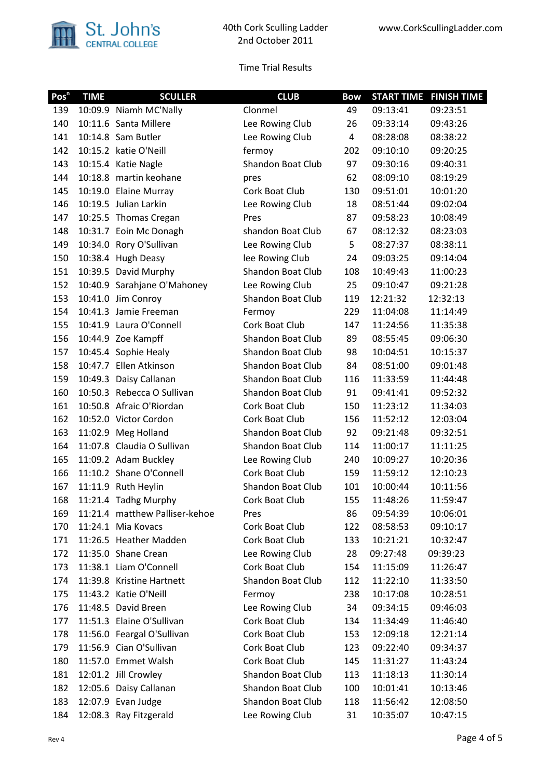

| Pos <sup>n</sup> | <b>TIME</b> | <b>SCULLER</b>                 | <b>CLUB</b>              | <b>Bow</b> |          | <b>START TIME FINISH TIME</b> |
|------------------|-------------|--------------------------------|--------------------------|------------|----------|-------------------------------|
| 139              |             | 10:09.9 Niamh MC'Nally         | Clonmel                  | 49         | 09:13:41 | 09:23:51                      |
| 140              |             | 10:11.6 Santa Millere          | Lee Rowing Club          | 26         | 09:33:14 | 09:43:26                      |
| 141              |             | 10:14.8 Sam Butler             | Lee Rowing Club          | 4          | 08:28:08 | 08:38:22                      |
| 142              |             | 10:15.2 katie O'Neill          | fermoy                   | 202        | 09:10:10 | 09:20:25                      |
| 143              |             | 10:15.4 Katie Nagle            | Shandon Boat Club        | 97         | 09:30:16 | 09:40:31                      |
| 144              |             | 10:18.8 martin keohane         | pres                     | 62         | 08:09:10 | 08:19:29                      |
| 145              |             | 10:19.0 Elaine Murray          | Cork Boat Club           | 130        | 09:51:01 | 10:01:20                      |
| 146              |             | 10:19.5 Julian Larkin          | Lee Rowing Club          | 18         | 08:51:44 | 09:02:04                      |
| 147              |             | 10:25.5 Thomas Cregan          | Pres                     | 87         | 09:58:23 | 10:08:49                      |
| 148              |             | 10:31.7 Eoin Mc Donagh         | shandon Boat Club        | 67         | 08:12:32 | 08:23:03                      |
| 149              |             | 10:34.0 Rory O'Sullivan        | Lee Rowing Club          | 5          | 08:27:37 | 08:38:11                      |
| 150              |             | 10:38.4 Hugh Deasy             | lee Rowing Club          | 24         | 09:03:25 | 09:14:04                      |
| 151              |             | 10:39.5 David Murphy           | <b>Shandon Boat Club</b> | 108        | 10:49:43 | 11:00:23                      |
| 152              |             | 10:40.9 Sarahjane O'Mahoney    | Lee Rowing Club          | 25         | 09:10:47 | 09:21:28                      |
| 153              |             | 10:41.0 Jim Conroy             | Shandon Boat Club        | 119        | 12:21:32 | 12:32:13                      |
| 154              |             | 10:41.3 Jamie Freeman          | Fermoy                   | 229        | 11:04:08 | 11:14:49                      |
| 155              |             | 10:41.9 Laura O'Connell        | Cork Boat Club           | 147        | 11:24:56 | 11:35:38                      |
| 156              |             | 10:44.9 Zoe Kampff             | <b>Shandon Boat Club</b> | 89         | 08:55:45 | 09:06:30                      |
| 157              |             | 10:45.4 Sophie Healy           | Shandon Boat Club        | 98         | 10:04:51 | 10:15:37                      |
| 158              |             | 10:47.7 Ellen Atkinson         | Shandon Boat Club        | 84         | 08:51:00 | 09:01:48                      |
| 159              |             | 10:49.3 Daisy Callanan         | Shandon Boat Club        | 116        | 11:33:59 | 11:44:48                      |
| 160              |             | 10:50.3 Rebecca O Sullivan     | Shandon Boat Club        | 91         | 09:41:41 | 09:52:32                      |
| 161              |             | 10:50.8 Afraic O'Riordan       | Cork Boat Club           | 150        | 11:23:12 | 11:34:03                      |
| 162              |             | 10:52.0 Victor Cordon          | Cork Boat Club           | 156        | 11:52:12 | 12:03:04                      |
| 163              |             | 11:02.9 Meg Holland            | Shandon Boat Club        | 92         | 09:21:48 | 09:32:51                      |
| 164              |             | 11:07.8 Claudia O Sullivan     | Shandon Boat Club        | 114        | 11:00:17 | 11:11:25                      |
| 165              |             | 11:09.2 Adam Buckley           | Lee Rowing Club          | 240        | 10:09:27 | 10:20:36                      |
| 166              |             | 11:10.2 Shane O'Connell        | Cork Boat Club           | 159        | 11:59:12 | 12:10:23                      |
| 167              |             | 11:11.9 Ruth Heylin            | Shandon Boat Club        | 101        | 10:00:44 | 10:11:56                      |
| 168              |             | 11:21.4 Tadhg Murphy           | Cork Boat Club           | 155        | 11:48:26 | 11:59:47                      |
| 169              |             | 11:21.4 matthew Palliser-kehoe | Pres                     | 86         | 09:54:39 | 10:06:01                      |
| 170              |             | 11:24.1 Mia Kovacs             | Cork Boat Club           | 122        | 08:58:53 | 09:10:17                      |
| 171              |             | 11:26.5 Heather Madden         | Cork Boat Club           | 133        | 10:21:21 | 10:32:47                      |
| 172              |             | 11:35.0 Shane Crean            | Lee Rowing Club          | 28         | 09:27:48 | 09:39:23                      |
| 173              |             | 11:38.1 Liam O'Connell         | Cork Boat Club           | 154        | 11:15:09 | 11:26:47                      |
| 174              |             | 11:39.8 Kristine Hartnett      | Shandon Boat Club        | 112        | 11:22:10 | 11:33:50                      |
| 175              |             | 11:43.2 Katie O'Neill          | Fermoy                   | 238        | 10:17:08 | 10:28:51                      |
| 176              |             | 11:48.5 David Breen            | Lee Rowing Club          | 34         | 09:34:15 | 09:46:03                      |
| 177              |             | 11:51.3 Elaine O'Sullivan      | Cork Boat Club           | 134        | 11:34:49 | 11:46:40                      |
| 178              |             | 11:56.0 Feargal O'Sullivan     | Cork Boat Club           | 153        | 12:09:18 | 12:21:14                      |
| 179              |             | 11:56.9 Cian O'Sullivan        | Cork Boat Club           | 123        | 09:22:40 | 09:34:37                      |
| 180              |             | 11:57.0 Emmet Walsh            | Cork Boat Club           | 145        | 11:31:27 | 11:43:24                      |
| 181              |             | 12:01.2 Jill Crowley           | Shandon Boat Club        | 113        | 11:18:13 | 11:30:14                      |
| 182              |             | 12:05.6 Daisy Callanan         | Shandon Boat Club        | 100        | 10:01:41 | 10:13:46                      |
| 183              |             | 12:07.9 Evan Judge             | Shandon Boat Club        | 118        | 11:56:42 | 12:08:50                      |
| 184              |             | 12:08.3 Ray Fitzgerald         | Lee Rowing Club          | 31         | 10:35:07 | 10:47:15                      |